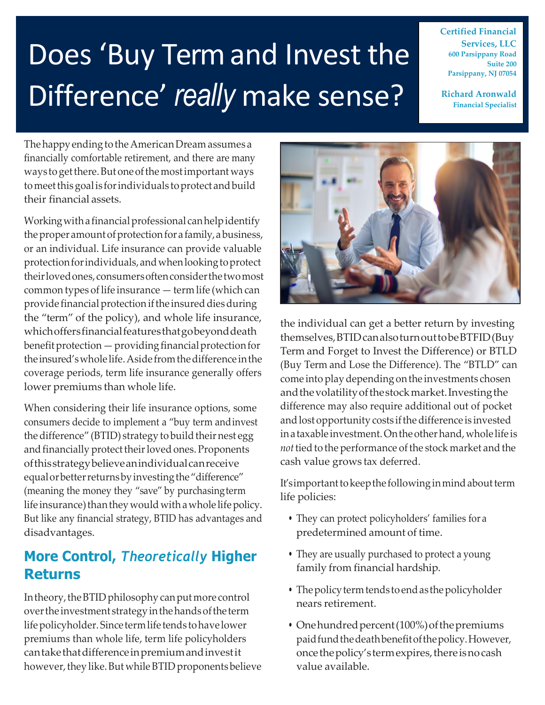# Does 'Buy Term and Invest the Difference' *really* make sense?

**Certified Financial Services, LLC 600 Parsippany Road Suite 200 Parsippany, NJ 07054**

**Richard Aronwald Financial Specialist**

The happy ending to the American Dream assumes a financially comfortable retirement, and there are many ways to get there. But one of the most important ways tomeetthisgoalis forindividuals toprotect andbuild their financial assets.

Working with a financial professional can help identify the proper amount of protection for a family, a business, or an individual. Life insurance can provide valuable protection for individuals, and when looking to protect theirlovedones,consumersoftenconsiderthetwomost common types of life insurance  $-$  term life (which can provide financial protection if the insured dies during the "term" of the policy), and whole life insurance, whichoffersfinancialfeaturesthatgobeyonddeath  $b$ enefit protection  $-$  providing financial protection for the insured'swhole life.Aside fromthedifference inthe coverage periods, term life insurance generally offers lower premiums than whole life.

When considering their life insurance options, some consumers decide to implement a "buy term andinvest the difference" (BTID) strategy to build their nest egg and financially protect their loved ones. Proponents ofthisstrategybelieveanindividualcanreceive equal or better returns by investing the "difference" (meaning the money they "save" by purchasingterm life insurance) than they would with a whole life policy. But like any financial strategy, BTID has advantages and disadvantages.

#### **More Control,** *Theoretically* **Higher Returns**

In theory, the BTID philosophy can put more control overthe investment strategyinthehandsofthe term lifepolicyholder. Since termlife tends tohave lower premiums than whole life, term life policyholders cantakethatdifferenceinpremiumandinvestit however, they like. But while BTID proponents believe



the individual can get a better return by investing themselves,BTIDcanalsoturnouttobeBTFID(Buy Term and Forget to Invest the Difference) or BTLD (Buy Term and Lose the Difference). The "BTLD" can come into play depending on the investments chosen and the volatility of the stock market. Investing the difference may also require additional out of pocket and lost opportunity costs if the difference is invested inataxable investment.Ontheotherhand,whole life is *not* tied to the performance of the stock market and the cash value grows tax deferred.

It'simportanttokeepthe followinginmindaboutterm life policies:

- They can protect policyholders' families for a predetermined amount of time.
- They are usually purchased to protect a young family from financial hardship.
- The policy term tends to end as the policyholder nears retirement.
- One hundred percent (100%) of the premiums paidfundthedeathbenefitofthepolicy.However, once the policy's term expires, there is no cash value available.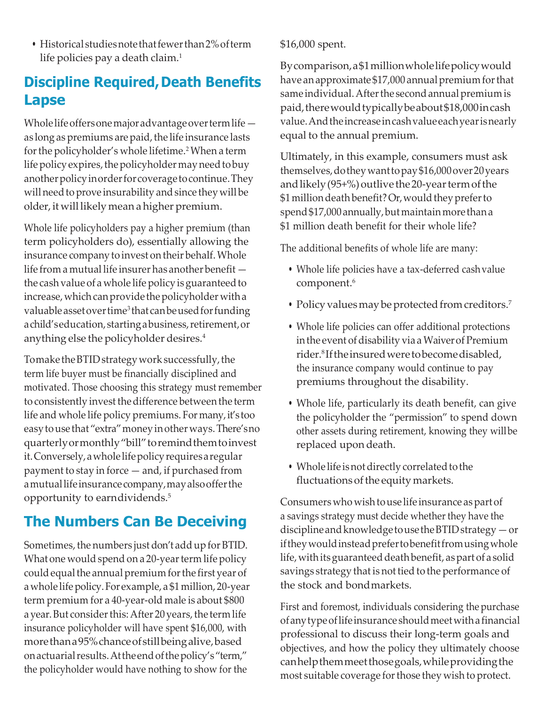• Historical studies note that fewer than 2% of term life policies pay a death claim.<sup>1</sup>

## **Discipline Required, Death Benefits Lapse**

Wholelifeoffersonemajoradvantageovertermlife as long as premiums are paid, the life insurance lasts for the policyholder's whole lifetime.<sup>2</sup> When a term life policy expires, the policyholder may need to buy anotherpolicyinorderforcoveragetocontinue.They will need to prove insurability and since they will be older,it will likely mean a higher premium.

Whole life policyholders pay a higher premium (than term policyholders do), essentially allowing the insurance company to invest on their behalf.Whole life from a mutual life insurer has another benefit the cash value of a whole life policy is guaranteed to increase, which can provide the policyholder with a valuable asset over time<sup>3</sup> that can be used for funding achild'seducation, startingabusiness,retirement,or anything else the policyholder desires.<sup>4</sup>

Tomake the BTID strategy work successfully, the term life buyer must be financially disciplined and motivated. Those choosing this strategy must remember to consistently invest the difference between the term life and whole life policy premiums. For many, it's too easytouse that "extra"moneyinotherways.There'sno quarterlyormonthly"bill"toremindthemtoinvest it.Conversely,awhole lifepolicyrequiresaregular payment to stay in force — and, if purchased from amutuallifeinsurancecompany,mayalsoofferthe opportunity to earndividends.<sup>5</sup>

## **The Numbers Can Be Deceiving**

Sometimes, the numbers just don't add up for BTID. What one would spend on a 20-year term life policy could equal the annual premium for the first year of awhole lifepolicy.For example, a \$1million, 20-year term premium for a 40-year-old male is about \$800 a year. But consider this: After 20 years, the term life insurance policyholder will have spent \$16,000, with morethana95%chanceofstillbeingalive,based on actuarial results. At the end of the policy's "term," the policyholder would have nothing to show for the

\$16,000 spent.

Bycomparison,a\$1millionwholelifepolicywould have an approximate \$17,000 annual premium for that same individual. After the second annual premium is paid, there would typically be about \$18,000 in cash value.Andtheincreaseincashvalueeachyearisnearly equal to the annual premium.

Ultimately, in this example, consumers must ask themselves,dotheywanttopay\$16,000over20years and likely (95+%) outlive the 20-year term of the \$1 million death benefit? Or, would they prefer to spend \$17,000 annually, but maintain more than a \$1 million death benefit for their whole life?

The additional benefits of whole life are many:

- Whole life policies have a tax-deferred cashvalue component.<sup>6</sup>
- Policy values may be protected from creditors.<sup>7</sup>
- Whole life policies can offer additional protections in the event of disability via a Waiver of Premium rider.<sup>8</sup> Iftheinsuredweretobecomedisabled, the insurance company would continue to pay premiums throughout the disability.
- Whole life, particularly its death benefit, can give the policyholder the "permission" to spend down other assets during retirement, knowing they willbe replaced upon death.
- Whole life is not directly correlated to the fluctuations of the equity markets.

Consumers who wishtouse life insurance aspart of a savings strategy must decide whether they have the disciplineandknowledgetousetheBTIDstrategy—or if they would instead prefer to benefit from using whole life, with its guaranteed death benefit, as part of a solid savings strategy that is not tied to the performance of the stock and bondmarkets.

First and foremost, individuals considering the purchase ofanytypeoflifeinsurance shouldmeetwithafinancial professional to discuss their long-term goals and objectives, and how the policy they ultimately choose canhelpthemmeetthosegoals,whileprovidingthe most suitable coverage forthose they wish to protect.